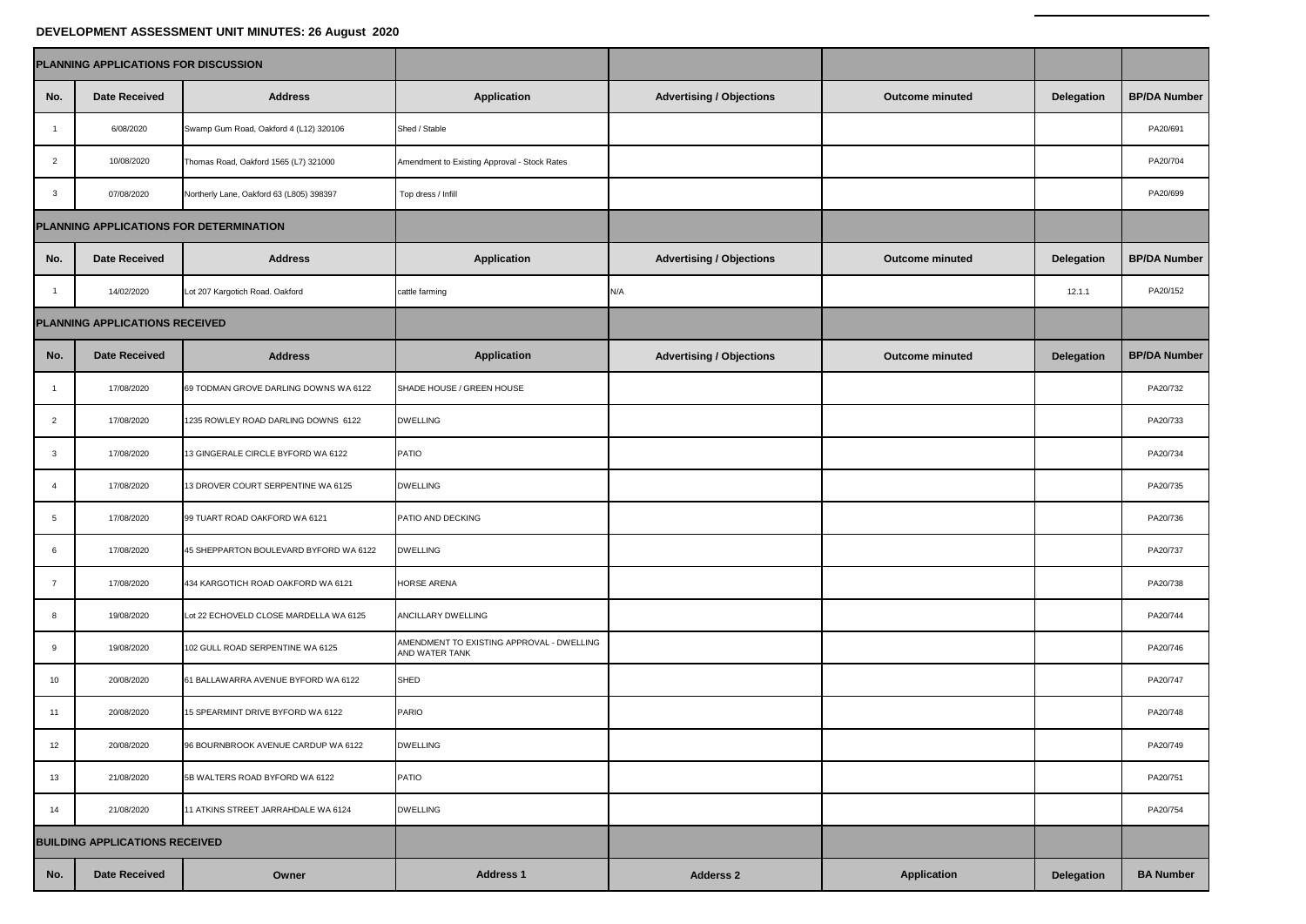## **DEVELOPMENT ASSESSMENT UNIT MINUTES: 26 August 2020**

| PLANNING APPLICATIONS FOR DISCUSSION    |                                |                                          |                                                             |                                 |                        |            |                     |
|-----------------------------------------|--------------------------------|------------------------------------------|-------------------------------------------------------------|---------------------------------|------------------------|------------|---------------------|
| No.                                     | <b>Date Received</b>           | <b>Address</b>                           | Application                                                 | <b>Advertising / Objections</b> | <b>Outcome minuted</b> | Delegation | <b>BP/DA Number</b> |
| -1                                      | 6/08/2020                      | Swamp Gum Road, Oakford 4 (L12) 320106   | Shed / Stable                                               |                                 |                        |            | PA20/691            |
| $\overline{2}$                          | 10/08/2020                     | Thomas Road, Oakford 1565 (L7) 321000    | Amendment to Existing Approval - Stock Rates                |                                 |                        |            | PA20/704            |
| $\mathbf{3}$                            | 07/08/2020                     | Northerly Lane, Oakford 63 (L805) 398397 | Top dress / Infill                                          |                                 |                        |            | PA20/699            |
| PLANNING APPLICATIONS FOR DETERMINATION |                                |                                          |                                                             |                                 |                        |            |                     |
| No.                                     | <b>Date Received</b>           | <b>Address</b>                           | Application                                                 | <b>Advertising / Objections</b> | <b>Outcome minuted</b> | Delegation | <b>BP/DA Number</b> |
| $\overline{1}$                          | 14/02/2020                     | Lot 207 Kargotich Road. Oakford          | cattle farming                                              | N/A                             |                        | 12.1.1     | PA20/152            |
|                                         | PLANNING APPLICATIONS RECEIVED |                                          |                                                             |                                 |                        |            |                     |
| No.                                     | <b>Date Received</b>           | <b>Address</b>                           | <b>Application</b>                                          | <b>Advertising / Objections</b> | <b>Outcome minuted</b> | Delegation | <b>BP/DA Number</b> |
| $\overline{1}$                          | 17/08/2020                     | 69 TODMAN GROVE DARLING DOWNS WA 6122    | SHADE HOUSE / GREEN HOUSE                                   |                                 |                        |            | PA20/732            |
| $\overline{2}$                          | 17/08/2020                     | 1235 ROWLEY ROAD DARLING DOWNS 6122      | <b>DWELLING</b>                                             |                                 |                        |            | PA20/733            |
| 3                                       | 17/08/2020                     | 13 GINGERALE CIRCLE BYFORD WA 6122       | PATIO                                                       |                                 |                        |            | PA20/734            |
| $\overline{4}$                          | 17/08/2020                     | 13 DROVER COURT SERPENTINE WA 6125       | <b>DWELLING</b>                                             |                                 |                        |            | PA20/735            |
| 5                                       | 17/08/2020                     | 99 TUART ROAD OAKFORD WA 6121            | PATIO AND DECKING                                           |                                 |                        |            | PA20/736            |
| 6                                       | 17/08/2020                     | 45 SHEPPARTON BOULEVARD BYFORD WA 6122   | <b>DWELLING</b>                                             |                                 |                        |            | PA20/737            |
| $\overline{7}$                          | 17/08/2020                     | 434 KARGOTICH ROAD OAKFORD WA 6121       | HORSE ARENA                                                 |                                 |                        |            | PA20/738            |
| 8                                       | 19/08/2020                     | Lot 22 ECHOVELD CLOSE MARDELLA WA 6125   | ANCILLARY DWELLING                                          |                                 |                        |            | PA20/744            |
| 9                                       | 19/08/2020                     | 102 GULL ROAD SERPENTINE WA 6125         | AMENDMENT TO EXISTING APPROVAL - DWELLING<br>AND WATER TANK |                                 |                        |            | PA20/746            |
| 10                                      | 20/08/2020                     | 61 BALLAWARRA AVENUE BYFORD WA 6122      | SHED                                                        |                                 |                        |            | PA20/747            |
| 11                                      | 20/08/2020                     | 15 SPEARMINT DRIVE BYFORD WA 6122        | PARIO                                                       |                                 |                        |            | PA20/748            |
| 12                                      | 20/08/2020                     | 96 BOURNBROOK AVENUE CARDUP WA 6122      | DWELLING                                                    |                                 |                        |            | PA20/749            |
| 13                                      | 21/08/2020                     | 5B WALTERS ROAD BYFORD WA 6122           | PATIO                                                       |                                 |                        |            | PA20/751            |
| 14                                      | 21/08/2020                     | 11 ATKINS STREET JARRAHDALE WA 6124      | <b>DWELLING</b>                                             |                                 |                        |            | PA20/754            |
| <b>BUILDING APPLICATIONS RECEIVED</b>   |                                |                                          |                                                             |                                 |                        |            |                     |
| No.                                     | <b>Date Received</b>           | Owner                                    | <b>Address 1</b>                                            | <b>Adderss 2</b>                | Application            | Delegation | <b>BA Number</b>    |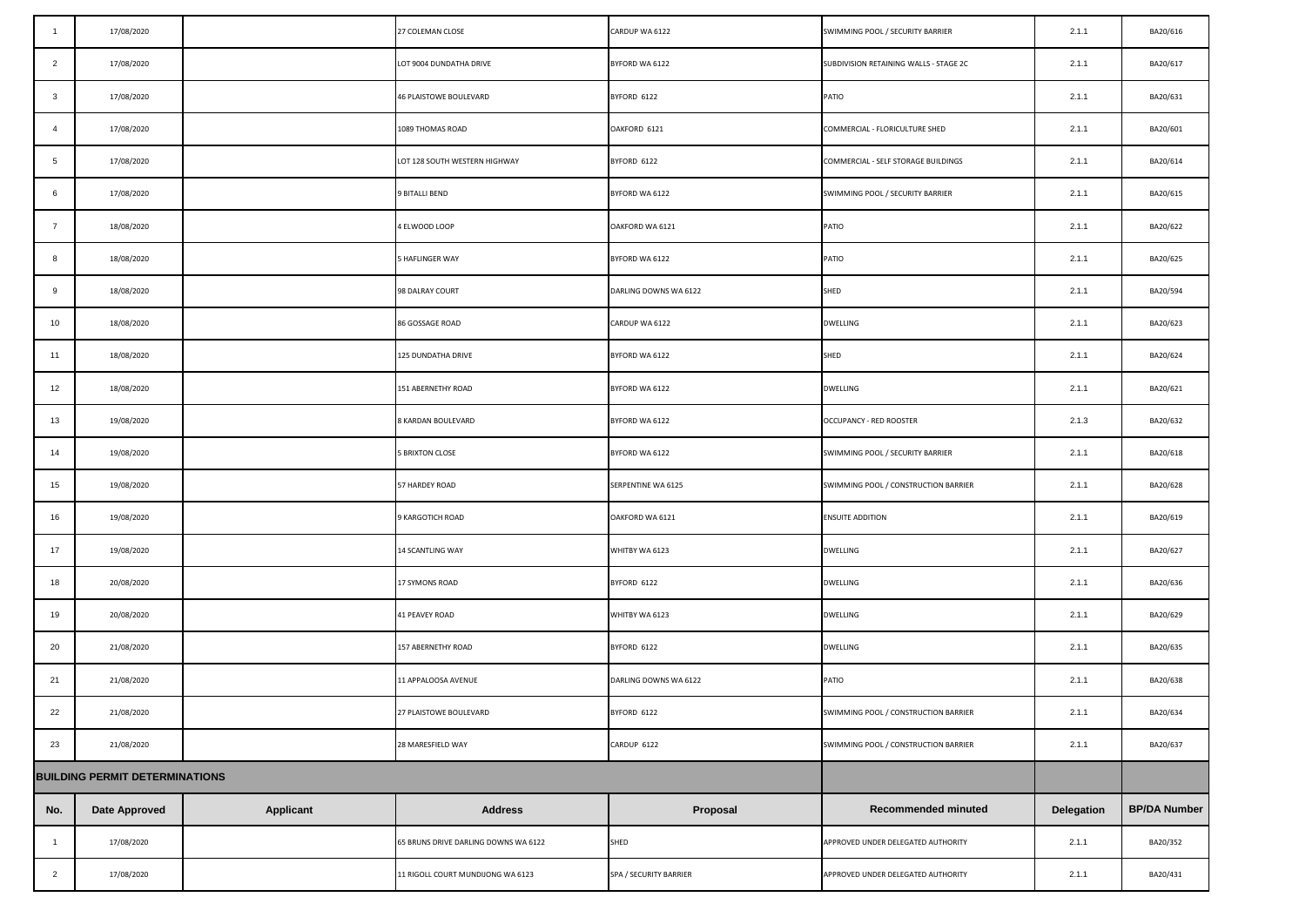| -1             | 17/08/2020                            |                  | 27 COLEMAN CLOSE                     | CARDUP WA 6122         | SWIMMING POOL / SECURITY BARRIER       | 2.1.1      | BA20/616            |
|----------------|---------------------------------------|------------------|--------------------------------------|------------------------|----------------------------------------|------------|---------------------|
| $\overline{2}$ | 17/08/2020                            |                  | LOT 9004 DUNDATHA DRIVE              | BYFORD WA 6122         | SUBDIVISION RETAINING WALLS - STAGE 2C | 2.1.1      | BA20/617            |
| $\mathbf{3}$   | 17/08/2020                            |                  | 46 PLAISTOWE BOULEVARD               | BYFORD 6122            | PATIO                                  | 2.1.1      | BA20/631            |
| $\overline{4}$ | 17/08/2020                            |                  | 1089 THOMAS ROAD                     | OAKFORD 6121           | COMMERCIAL - FLORICULTURE SHED         | 2.1.1      | BA20/601            |
| 5              | 17/08/2020                            |                  | LOT 128 SOUTH WESTERN HIGHWAY        | BYFORD 6122            | COMMERCIAL - SELF STORAGE BUILDINGS    | 2.1.1      | BA20/614            |
| 6              | 17/08/2020                            |                  | 9 BITALLI BEND                       | BYFORD WA 6122         | SWIMMING POOL / SECURITY BARRIER       | 2.1.1      | BA20/615            |
| $\overline{7}$ | 18/08/2020                            |                  | 4 ELWOOD LOOP                        | OAKFORD WA 6121        | PATIO                                  | 2.1.1      | BA20/622            |
| 8              | 18/08/2020                            |                  | 5 HAFLINGER WAY                      | BYFORD WA 6122         | PATIO                                  | 2.1.1      | BA20/625            |
| 9              | 18/08/2020                            |                  | 98 DALRAY COURT                      | DARLING DOWNS WA 6122  | SHED                                   | 2.1.1      | BA20/594            |
| 10             | 18/08/2020                            |                  | 86 GOSSAGE ROAD                      | CARDUP WA 6122         | <b>DWELLING</b>                        | 2.1.1      | BA20/623            |
| 11             | 18/08/2020                            |                  | 125 DUNDATHA DRIVE                   | BYFORD WA 6122         | SHED                                   | 2.1.1      | BA20/624            |
| 12             | 18/08/2020                            |                  | 151 ABERNETHY ROAD                   | BYFORD WA 6122         | <b>DWELLING</b>                        | 2.1.1      | BA20/621            |
| 13             | 19/08/2020                            |                  | 8 KARDAN BOULEVARD                   | BYFORD WA 6122         | OCCUPANCY - RED ROOSTER                | 2.1.3      | BA20/632            |
| 14             | 19/08/2020                            |                  | <b>5 BRIXTON CLOSE</b>               | BYFORD WA 6122         | SWIMMING POOL / SECURITY BARRIER       | 2.1.1      | BA20/618            |
| 15             | 19/08/2020                            |                  | 57 HARDEY ROAD                       | SERPENTINE WA 6125     | SWIMMING POOL / CONSTRUCTION BARRIER   | 2.1.1      | BA20/628            |
| 16             | 19/08/2020                            |                  | 9 KARGOTICH ROAD                     | OAKFORD WA 6121        | <b>ENSUITE ADDITION</b>                | 2.1.1      | BA20/619            |
| 17             | 19/08/2020                            |                  | 14 SCANTLING WAY                     | WHITBY WA 6123         | <b>DWELLING</b>                        | 2.1.1      | BA20/627            |
| 18             | 20/08/2020                            |                  | 17 SYMONS ROAD                       | BYFORD 6122            | <b>DWELLING</b>                        | 2.1.1      | BA20/636            |
| 19             | 20/08/2020                            |                  | 41 PEAVEY ROAD                       | WHITBY WA 6123         | <b>DWELLING</b>                        | 2.1.1      | BA20/629            |
| 20             | 21/08/2020                            |                  | 157 ABERNETHY ROAD                   | BYFORD 6122            | <b>DWELLING</b>                        | 2.1.1      | BA20/635            |
| 21             | 21/08/2020                            |                  | 11 APPALOOSA AVENUE                  | DARLING DOWNS WA 6122  | PATIO                                  | 2.1.1      | BA20/638            |
| 22             | 21/08/2020                            |                  | 27 PLAISTOWE BOULEVARD               | BYFORD 6122            | SWIMMING POOL / CONSTRUCTION BARRIER   | 2.1.1      | BA20/634            |
| 23             | 21/08/2020                            |                  | 28 MARESFIELD WAY                    | CARDUP 6122            | SWIMMING POOL / CONSTRUCTION BARRIER   | 2.1.1      | BA20/637            |
|                | <b>BUILDING PERMIT DETERMINATIONS</b> |                  |                                      |                        |                                        |            |                     |
| No.            | <b>Date Approved</b>                  | <b>Applicant</b> | <b>Address</b>                       | Proposal               | Recommended minuted                    | Delegation | <b>BP/DA Number</b> |
| $\overline{1}$ | 17/08/2020                            |                  | 65 BRUNS DRIVE DARLING DOWNS WA 6122 | SHED                   | APPROVED UNDER DELEGATED AUTHORITY     | 2.1.1      | BA20/352            |
| $\overline{2}$ | 17/08/2020                            |                  | 11 RIGOLL COURT MUNDIJONG WA 6123    | SPA / SECURITY BARRIER | APPROVED UNDER DELEGATED AUTHORITY     | 2.1.1      | BA20/431            |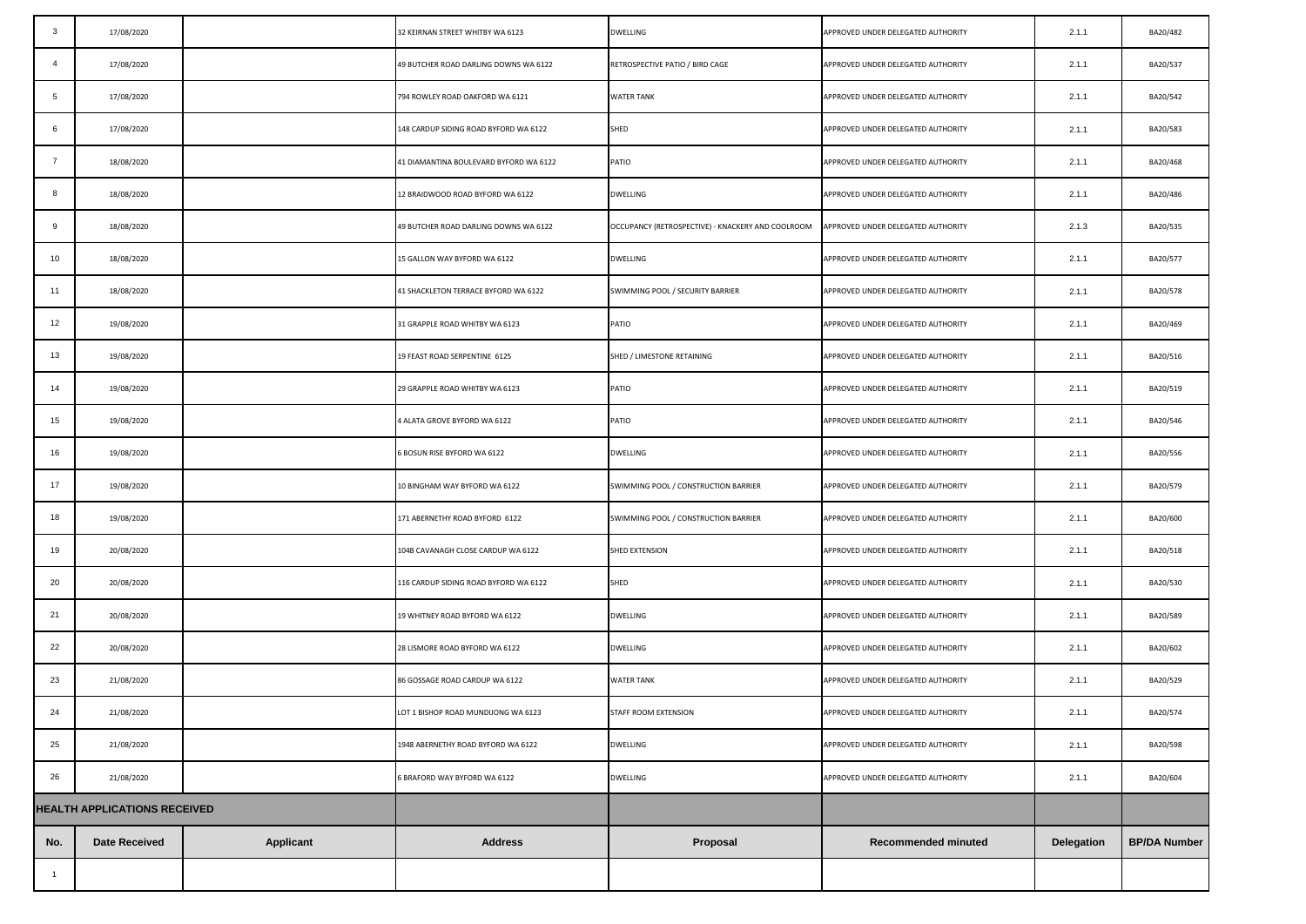| $\mathbf{3}$                        | 17/08/2020           |                  | 32 KEIRNAN STREET WHITBY WA 6123       | <b>DWELLING</b>                                   | APPROVED UNDER DELEGATED AUTHORITY | 2.1.1      | BA20/482            |
|-------------------------------------|----------------------|------------------|----------------------------------------|---------------------------------------------------|------------------------------------|------------|---------------------|
| $\overline{4}$                      | 17/08/2020           |                  | 49 BUTCHER ROAD DARLING DOWNS WA 6122  | RETROSPECTIVE PATIO / BIRD CAGE                   | APPROVED UNDER DELEGATED AUTHORITY | 2.1.1      | BA20/537            |
| 5                                   | 17/08/2020           |                  | 794 ROWLEY ROAD OAKFORD WA 6121        | <b>WATER TANK</b>                                 | APPROVED UNDER DELEGATED AUTHORITY | 2.1.1      | BA20/542            |
| 6                                   | 17/08/2020           |                  | 148 CARDUP SIDING ROAD BYFORD WA 6122  | SHED                                              | APPROVED UNDER DELEGATED AUTHORITY | 2.1.1      | BA20/583            |
| 7                                   | 18/08/2020           |                  | 41 DIAMANTINA BOULEVARD BYFORD WA 6122 | PATIO                                             | APPROVED UNDER DELEGATED AUTHORITY | 2.1.1      | BA20/468            |
| 8                                   | 18/08/2020           |                  | 12 BRAIDWOOD ROAD BYFORD WA 6122       | <b>DWELLING</b>                                   | APPROVED UNDER DELEGATED AUTHORITY | 2.1.1      | BA20/486            |
| 9                                   | 18/08/2020           |                  | 49 BUTCHER ROAD DARLING DOWNS WA 6122  | OCCUPANCY (RETROSPECTIVE) - KNACKERY AND COOLROOM | APPROVED UNDER DELEGATED AUTHORITY | 2.1.3      | BA20/535            |
| 10                                  | 18/08/2020           |                  | 15 GALLON WAY BYFORD WA 6122           | DWELLING                                          | APPROVED UNDER DELEGATED AUTHORITY | 2.1.1      | BA20/577            |
| 11                                  | 18/08/2020           |                  | 41 SHACKLETON TERRACE BYFORD WA 6122   | SWIMMING POOL / SECURITY BARRIER                  | APPROVED UNDER DELEGATED AUTHORITY | 2.1.1      | BA20/578            |
| 12                                  | 19/08/2020           |                  | 31 GRAPPLE ROAD WHITBY WA 6123         | PATIO                                             | APPROVED UNDER DELEGATED AUTHORITY | 2.1.1      | BA20/469            |
| 13                                  | 19/08/2020           |                  | 19 FEAST ROAD SERPENTINE 6125          | SHED / LIMESTONE RETAINING                        | APPROVED UNDER DELEGATED AUTHORITY | 2.1.1      | BA20/516            |
| 14                                  | 19/08/2020           |                  | 29 GRAPPLE ROAD WHITBY WA 6123         | PATIO                                             | APPROVED UNDER DELEGATED AUTHORITY | 2.1.1      | BA20/519            |
| 15                                  | 19/08/2020           |                  | 4 ALATA GROVE BYFORD WA 6122           | PATIO                                             | APPROVED UNDER DELEGATED AUTHORITY | 2.1.1      | BA20/546            |
| 16                                  | 19/08/2020           |                  | 6 BOSUN RISE BYFORD WA 6122            | DWELLING                                          | APPROVED UNDER DELEGATED AUTHORITY | 2.1.1      | BA20/556            |
| 17                                  | 19/08/2020           |                  | 10 BINGHAM WAY BYFORD WA 6122          | SWIMMING POOL / CONSTRUCTION BARRIER              | APPROVED UNDER DELEGATED AUTHORITY | 2.1.1      | BA20/579            |
| 18                                  | 19/08/2020           |                  | 171 ABERNETHY ROAD BYFORD 6122         | SWIMMING POOL / CONSTRUCTION BARRIER              | APPROVED UNDER DELEGATED AUTHORITY | 2.1.1      | BA20/600            |
| 19                                  | 20/08/2020           |                  | 104B CAVANAGH CLOSE CARDUP WA 6122     | SHED EXTENSION                                    | APPROVED UNDER DELEGATED AUTHORITY | 2.1.1      | BA20/518            |
| 20                                  | 20/08/2020           |                  | 116 CARDUP SIDING ROAD BYFORD WA 6122  | SHED                                              | APPROVED UNDER DELEGATED AUTHORITY | 2.1.1      | BA20/530            |
| 21                                  | 20/08/2020           |                  | 19 WHITNEY ROAD BYFORD WA 6122         | DWELLING                                          | APPROVED UNDER DELEGATED AUTHORITY | 2.1.1      | BA20/589            |
| 22                                  | 20/08/2020           |                  | 28 LISMORE ROAD BYFORD WA 6122         | DWELLING                                          | APPROVED UNDER DELEGATED AUTHORITY | 2.1.1      | BA20/602            |
| 23                                  | 21/08/2020           |                  | 86 GOSSAGE ROAD CARDUP WA 6122         | <b>WATER TANK</b>                                 | APPROVED UNDER DELEGATED AUTHORITY | 2.1.1      | BA20/529            |
| 24                                  | 21/08/2020           |                  | OT 1 BISHOP ROAD MUNDIJONG WA 6123     | STAFF ROOM EXTENSION                              | APPROVED UNDER DELEGATED AUTHORITY | 2.1.1      | BA20/574            |
| 25                                  | 21/08/2020           |                  | 1948 ABERNETHY ROAD BYFORD WA 6122     | <b>DWELLING</b>                                   | APPROVED UNDER DELEGATED AUTHORITY | 2.1.1      | BA20/598            |
| 26                                  | 21/08/2020           |                  | 6 BRAFORD WAY BYFORD WA 6122           | <b>DWELLING</b>                                   | APPROVED UNDER DELEGATED AUTHORITY | 2.1.1      | BA20/604            |
| <b>HEALTH APPLICATIONS RECEIVED</b> |                      |                  |                                        |                                                   |                                    |            |                     |
| No.                                 | <b>Date Received</b> | <b>Applicant</b> | <b>Address</b>                         | Proposal                                          | Recommended minuted                | Delegation | <b>BP/DA Number</b> |
| $\overline{1}$                      |                      |                  |                                        |                                                   |                                    |            |                     |